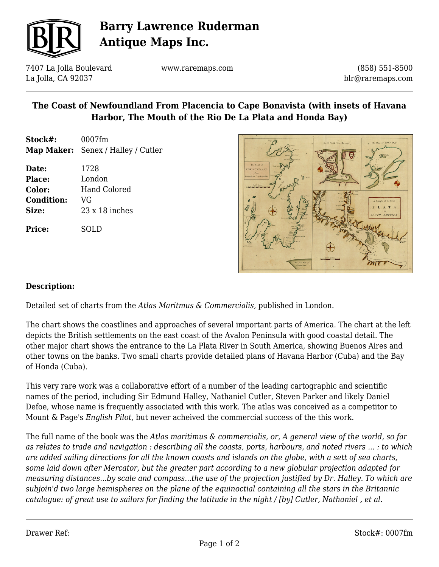

# **Barry Lawrence Ruderman Antique Maps Inc.**

7407 La Jolla Boulevard La Jolla, CA 92037

www.raremaps.com

(858) 551-8500 blr@raremaps.com

### **The Coast of Newfoundland From Placencia to Cape Bonavista (with insets of Havana Harbor, The Mouth of the Rio De La Plata and Honda Bay)**

- **Stock#:** 0007fm **Map Maker:** Senex / Halley / Cutler
- **Date:** 1728 **Place:** London **Color:** Hand Colored **Condition:** VG **Size:** 23 x 18 inches

**Price:** SOLD



#### **Description:**

Detailed set of charts from the *Atlas Maritmus & Commercialis*, published in London.

The chart shows the coastlines and approaches of several important parts of America. The chart at the left depicts the British settlements on the east coast of the Avalon Peninsula with good coastal detail. The other major chart shows the entrance to the La Plata River in South America, showing Buenos Aires and other towns on the banks. Two small charts provide detailed plans of Havana Harbor (Cuba) and the Bay of Honda (Cuba).

This very rare work was a collaborative effort of a number of the leading cartographic and scientific names of the period, including Sir Edmund Halley, Nathaniel Cutler, Steven Parker and likely Daniel Defoe, whose name is frequently associated with this work. The atlas was conceived as a competitor to Mount & Page's *English Pilot,* but never acheived the commercial success of the this work.

The full name of the book was the *Atlas maritimus & commercialis, or, A general view of the world, so far as relates to trade and navigation : describing all the coasts, ports, harbours, and noted rivers ... : to which are added sailing directions for all the known coasts and islands on the globe, with a sett of sea charts, some laid down after Mercator, but the greater part according to a new globular projection adapted for measuring distances...by scale and compass...the use of the projection justified by Dr. Halley. To which are subjoin'd two large hemispheres on the plane of the equinoctial containing all the stars in the Britannic catalogue: of great use to sailors for finding the latitude in the night / [by] Cutler, Nathaniel , et al.*